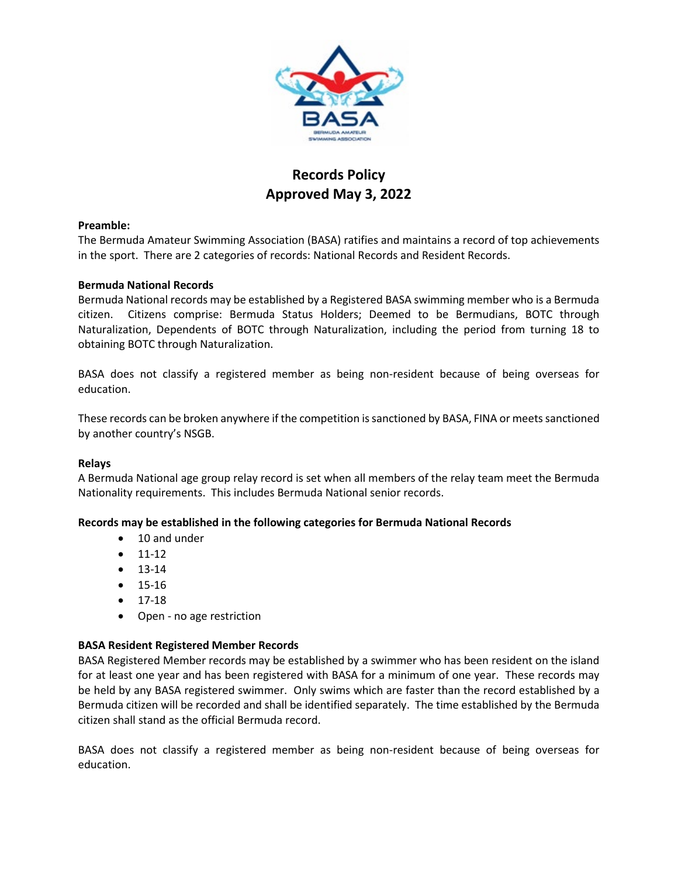

# **Records Policy Approved May 3, 2022**

### **Preamble:**

The Bermuda Amateur Swimming Association (BASA) ratifies and maintains a record of top achievements in the sport. There are 2 categories of records: National Records and Resident Records.

### **Bermuda National Records**

Bermuda National records may be established by a Registered BASA swimming member who is a Bermuda citizen. Citizens comprise: Bermuda Status Holders; Deemed to be Bermudians, BOTC through Naturalization, Dependents of BOTC through Naturalization, including the period from turning 18 to obtaining BOTC through Naturalization.

BASA does not classify a registered member as being non-resident because of being overseas for education.

These records can be broken anywhere if the competition is sanctioned by BASA, FINA or meets sanctioned by another country's NSGB.

### **Relays**

A Bermuda National age group relay record is set when all members of the relay team meet the Bermuda Nationality requirements. This includes Bermuda National senior records.

### **Records may be established in the following categories for Bermuda National Records**

- 10 and under
- 11-12
- 13-14
- 15-16
- 17-18
- Open no age restriction

### **BASA Resident Registered Member Records**

BASA Registered Member records may be established by a swimmer who has been resident on the island for at least one year and has been registered with BASA for a minimum of one year. These records may be held by any BASA registered swimmer. Only swims which are faster than the record established by a Bermuda citizen will be recorded and shall be identified separately. The time established by the Bermuda citizen shall stand as the official Bermuda record.

BASA does not classify a registered member as being non-resident because of being overseas for education.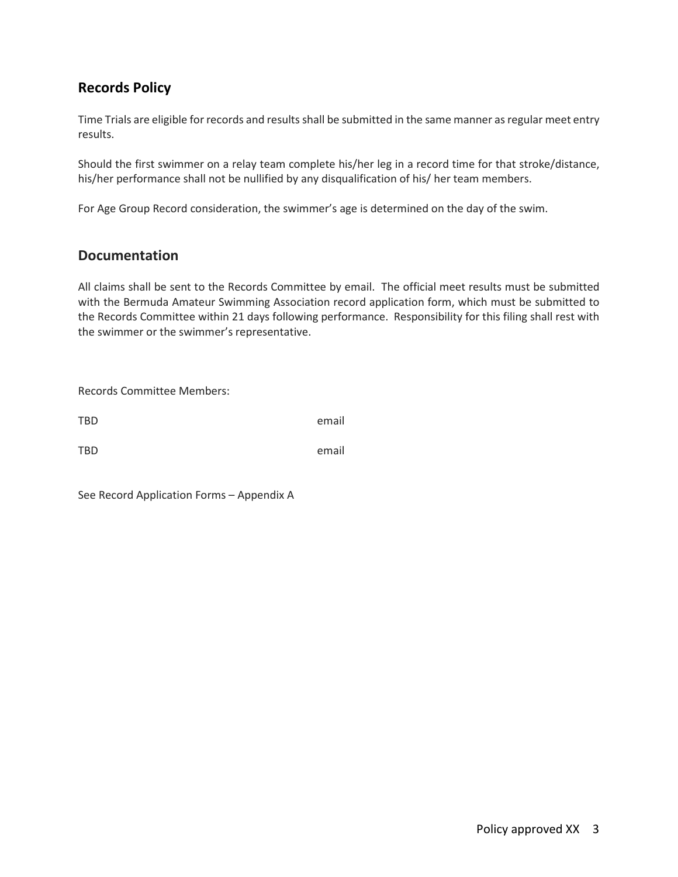# **Records Policy**

Time Trials are eligible for records and results shall be submitted in the same manner as regular meet entry results.

Should the first swimmer on a relay team complete his/her leg in a record time for that stroke/distance, his/her performance shall not be nullified by any disqualification of his/ her team members.

For Age Group Record consideration, the swimmer's age is determined on the day of the swim.

### **Documentation**

All claims shall be sent to the Records Committee by email. The official meet results must be submitted with the Bermuda Amateur Swimming Association record application form, which must be submitted to the Records Committee within 21 days following performance. Responsibility for this filing shall rest with the swimmer or the swimmer's representative.

Records Committee Members: TBD email TBD email

See Record Application Forms – Appendix A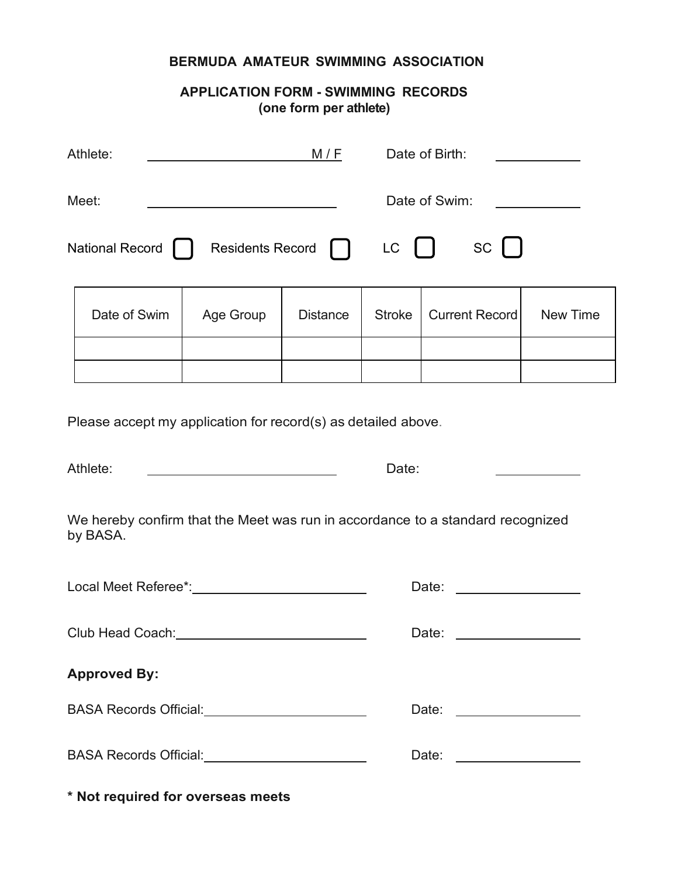# **BERMUDA AMATEUR SWIMMING ASSOCIATION**

### **APPLICATION FORM - SWIMMING RECORDS (one form per athlete)**

| Athlete:<br>M/F                                                                                                                                                                                                                |           | Date of Birth:  |               |                       |          |  |  |  |
|--------------------------------------------------------------------------------------------------------------------------------------------------------------------------------------------------------------------------------|-----------|-----------------|---------------|-----------------------|----------|--|--|--|
| Meet:                                                                                                                                                                                                                          |           |                 | Date of Swim: |                       |          |  |  |  |
| $SC \mid$<br><b>National Record</b><br><b>Residents Record</b><br>LC                                                                                                                                                           |           |                 |               |                       |          |  |  |  |
| Date of Swim                                                                                                                                                                                                                   | Age Group | <b>Distance</b> | <b>Stroke</b> | <b>Current Record</b> | New Time |  |  |  |
|                                                                                                                                                                                                                                |           |                 |               |                       |          |  |  |  |
| Please accept my application for record(s) as detailed above.<br>Athlete:<br><u> 1980 - John Stein, mars and de Brandenberg (</u><br>Date:                                                                                     |           |                 |               |                       |          |  |  |  |
| We hereby confirm that the Meet was run in accordance to a standard recognized<br>by BASA.                                                                                                                                     |           |                 |               |                       |          |  |  |  |
| Local Meet Referee*: Next Control of the Manuscript Control of the Manuscript Control of the Manuscript Control of the Manuscript Control of the Manuscript Control of the Manuscript Control of the Manuscript Control of the | Date:     |                 |               |                       |          |  |  |  |
|                                                                                                                                                                                                                                |           |                 | Date:         |                       |          |  |  |  |
| <b>Approved By:</b>                                                                                                                                                                                                            |           |                 |               |                       |          |  |  |  |
| BASA Records Official: <u>________________________</u>                                                                                                                                                                         |           |                 |               |                       |          |  |  |  |
| BASA Records Official: <u>Cambridge Contractor</u>                                                                                                                                                                             |           |                 | Date:         |                       |          |  |  |  |
| * Not required for overseas meets                                                                                                                                                                                              |           |                 |               |                       |          |  |  |  |